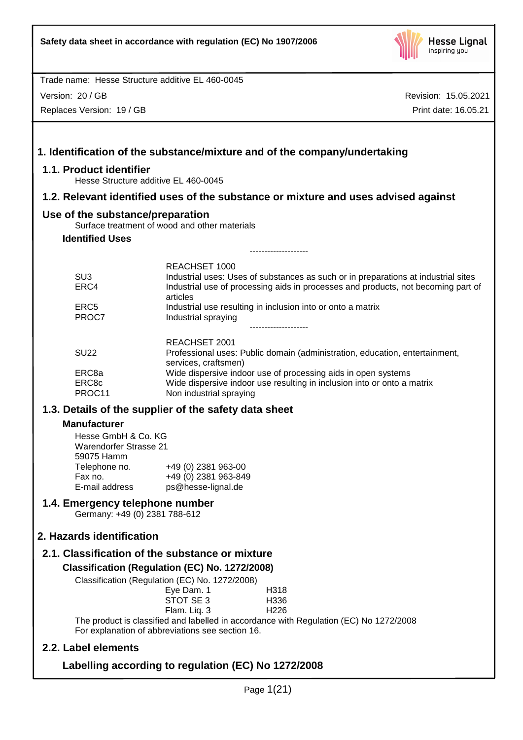

Version: 20 / GB

Replaces Version: 19 / GB

Revision: 15.05.2021 Print date: 16.05.21

# **1. Identification of the substance/mixture and of the company/undertaking 1.1. Product identifier** Hesse Structure additive EL 460-0045 **1.2. Relevant identified uses of the substance or mixture and uses advised against Use of the substance/preparation** Surface treatment of wood and other materials **Identified Uses** -------------------- REACHSET 1000 SU3 **Industrial uses: Uses of substances as such or in preparations at industrial sites** ERC4 Industrial use of processing aids in processes and products, not becoming part of articles ERC5 Industrial use resulting in inclusion into or onto a matrix PROC7 Industrial spraying -------------------- REACHSET 2001 SU22 Professional uses: Public domain (administration, education, entertainment, services, craftsmen) ERC8a Wide dispersive indoor use of processing aids in open systems ERC8c Wide dispersive indoor use resulting in inclusion into or onto a matrix PROC11 Non industrial spraying **1.3. Details of the supplier of the safety data sheet Manufacturer** Hesse GmbH & Co. KG Warendorfer Strasse 21 59075 Hamm Telephone no. +49 (0) 2381 963-00 Fax no.  $+49(0)$  2381 963-849<br>E-mail address ps@hesse-lignal.de ps@hesse-lignal.de **1.4. Emergency telephone number** Germany: +49 (0) 2381 788-612 **2. Hazards identification 2.1. Classification of the substance or mixture Classification (Regulation (EC) No. 1272/2008)** Classification (Regulation (EC) No. 1272/2008) Eye Dam. 1 H318 STOT SE 3 H336 Flam. Liq. 3 H226 The product is classified and labelled in accordance with Regulation (EC) No 1272/2008 For explanation of abbreviations see section 16. **2.2. Label elements Labelling according to regulation (EC) No 1272/2008**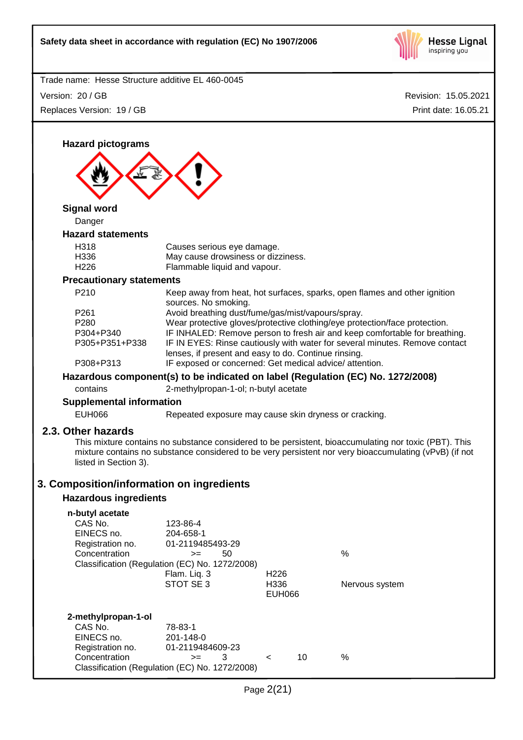

| Trade name: Hesse Structure additive EL 460-0045                                                                |                                                                                                                                                                                                                                     |                                           |    |                                                                                                                                                                                                                                                                                                                                                                                                         |
|-----------------------------------------------------------------------------------------------------------------|-------------------------------------------------------------------------------------------------------------------------------------------------------------------------------------------------------------------------------------|-------------------------------------------|----|---------------------------------------------------------------------------------------------------------------------------------------------------------------------------------------------------------------------------------------------------------------------------------------------------------------------------------------------------------------------------------------------------------|
| Version: 20 / GB                                                                                                |                                                                                                                                                                                                                                     |                                           |    | Revision: 15.05.2021                                                                                                                                                                                                                                                                                                                                                                                    |
| Replaces Version: 19 / GB                                                                                       |                                                                                                                                                                                                                                     |                                           |    | Print date: 16.05.21                                                                                                                                                                                                                                                                                                                                                                                    |
| <b>Hazard pictograms</b>                                                                                        |                                                                                                                                                                                                                                     |                                           |    |                                                                                                                                                                                                                                                                                                                                                                                                         |
| <b>Signal word</b>                                                                                              |                                                                                                                                                                                                                                     |                                           |    |                                                                                                                                                                                                                                                                                                                                                                                                         |
| Danger                                                                                                          |                                                                                                                                                                                                                                     |                                           |    |                                                                                                                                                                                                                                                                                                                                                                                                         |
| <b>Hazard statements</b><br>H318<br>H336<br>H226                                                                | Causes serious eye damage.<br>May cause drowsiness or dizziness.<br>Flammable liquid and vapour.                                                                                                                                    |                                           |    |                                                                                                                                                                                                                                                                                                                                                                                                         |
| <b>Precautionary statements</b>                                                                                 |                                                                                                                                                                                                                                     |                                           |    |                                                                                                                                                                                                                                                                                                                                                                                                         |
| P210<br>P261<br>P280<br>P304+P340<br>P305+P351+P338<br>P308+P313<br>contains<br><b>Supplemental information</b> | sources. No smoking.<br>Avoid breathing dust/fume/gas/mist/vapours/spray.<br>lenses, if present and easy to do. Continue rinsing.<br>IF exposed or concerned: Get medical advice/attention.<br>2-methylpropan-1-ol; n-butyl acetate |                                           |    | Keep away from heat, hot surfaces, sparks, open flames and other ignition<br>Wear protective gloves/protective clothing/eye protection/face protection.<br>IF INHALED: Remove person to fresh air and keep comfortable for breathing.<br>IF IN EYES: Rinse cautiously with water for several minutes. Remove contact<br>Hazardous component(s) to be indicated on label (Regulation (EC) No. 1272/2008) |
| <b>EUH066</b>                                                                                                   | Repeated exposure may cause skin dryness or cracking.                                                                                                                                                                               |                                           |    |                                                                                                                                                                                                                                                                                                                                                                                                         |
| 2.3. Other hazards<br>listed in Section 3).<br>3. Composition/information on ingredients                        |                                                                                                                                                                                                                                     |                                           |    | This mixture contains no substance considered to be persistent, bioaccumulating nor toxic (PBT). This<br>mixture contains no substance considered to be very persistent nor very bioaccumulating (vPvB) (if not                                                                                                                                                                                         |
| <b>Hazardous ingredients</b>                                                                                    |                                                                                                                                                                                                                                     |                                           |    |                                                                                                                                                                                                                                                                                                                                                                                                         |
| n-butyl acetate<br>CAS No.<br>EINECS no.<br>Registration no.<br>Concentration                                   | 123-86-4<br>204-658-1<br>01-2119485493-29<br>50<br>$>=$<br>Classification (Regulation (EC) No. 1272/2008)<br>Flam. Liq. 3<br>STOT SE 3                                                                                              | H <sub>226</sub><br>H336<br><b>EUH066</b> |    | %<br>Nervous system                                                                                                                                                                                                                                                                                                                                                                                     |
| 2-methylpropan-1-ol<br>CAS No.<br>EINECS no.<br>Registration no.<br>Concentration                               | 78-83-1<br>201-148-0<br>01-2119484609-23<br>3<br>$>=$<br>Classification (Regulation (EC) No. 1272/2008)                                                                                                                             | $\,<\,$                                   | 10 | %                                                                                                                                                                                                                                                                                                                                                                                                       |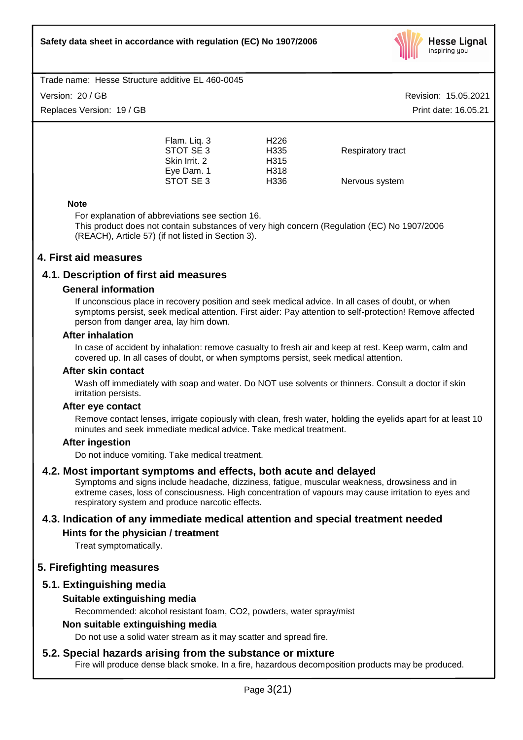

# Version: 20 / GB

Replaces Version: 19 / GB

Revision: 15.05.2021 Print date: 16.05.21

Flam. Liq. 3 H226 STOT SE 3 H335 Respiratory tract Skin Irrit. 2 H315 Eye Dam. 1 H318 H336 Nervous system

#### **Note**

For explanation of abbreviations see section 16. This product does not contain substances of very high concern (Regulation (EC) No 1907/2006 (REACH), Article 57) (if not listed in Section 3).

# **4. First aid measures**

# **4.1. Description of first aid measures**

#### **General information**

If unconscious place in recovery position and seek medical advice. In all cases of doubt, or when symptoms persist, seek medical attention. First aider: Pay attention to self-protection! Remove affected person from danger area, lay him down.

#### **After inhalation**

In case of accident by inhalation: remove casualty to fresh air and keep at rest. Keep warm, calm and covered up. In all cases of doubt, or when symptoms persist, seek medical attention.

#### **After skin contact**

Wash off immediately with soap and water. Do NOT use solvents or thinners. Consult a doctor if skin irritation persists.

#### **After eye contact**

Remove contact lenses, irrigate copiously with clean, fresh water, holding the eyelids apart for at least 10 minutes and seek immediate medical advice. Take medical treatment.

# **After ingestion**

Do not induce vomiting. Take medical treatment.

# **4.2. Most important symptoms and effects, both acute and delayed**

Symptoms and signs include headache, dizziness, fatigue, muscular weakness, drowsiness and in extreme cases, loss of consciousness. High concentration of vapours may cause irritation to eyes and respiratory system and produce narcotic effects.

# **4.3. Indication of any immediate medical attention and special treatment needed**

# **Hints for the physician / treatment**

Treat symptomatically.

# **5. Firefighting measures**

# **5.1. Extinguishing media**

# **Suitable extinguishing media**

Recommended: alcohol resistant foam, CO2, powders, water spray/mist

#### **Non suitable extinguishing media**

Do not use a solid water stream as it may scatter and spread fire.

# **5.2. Special hazards arising from the substance or mixture**

Fire will produce dense black smoke. In a fire, hazardous decomposition products may be produced.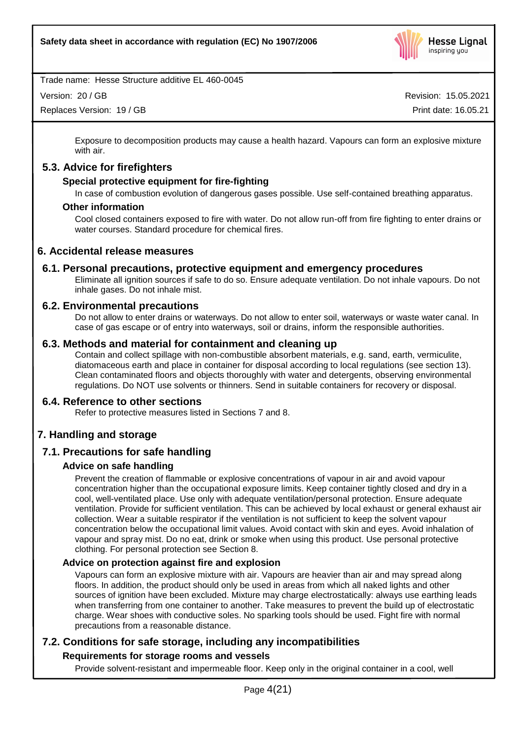

Version: 20 / GB

Replaces Version: 19 / GB

Revision: 15.05.2021 Print date: 16.05.21

Exposure to decomposition products may cause a health hazard. Vapours can form an explosive mixture with air.

# **5.3. Advice for firefighters**

#### **Special protective equipment for fire-fighting**

In case of combustion evolution of dangerous gases possible. Use self-contained breathing apparatus.

#### **Other information**

Cool closed containers exposed to fire with water. Do not allow run-off from fire fighting to enter drains or water courses. Standard procedure for chemical fires.

# **6. Accidental release measures**

#### **6.1. Personal precautions, protective equipment and emergency procedures**

Eliminate all ignition sources if safe to do so. Ensure adequate ventilation. Do not inhale vapours. Do not inhale gases. Do not inhale mist.

#### **6.2. Environmental precautions**

Do not allow to enter drains or waterways. Do not allow to enter soil, waterways or waste water canal. In case of gas escape or of entry into waterways, soil or drains, inform the responsible authorities.

#### **6.3. Methods and material for containment and cleaning up**

Contain and collect spillage with non-combustible absorbent materials, e.g. sand, earth, vermiculite, diatomaceous earth and place in container for disposal according to local regulations (see section 13). Clean contaminated floors and objects thoroughly with water and detergents, observing environmental regulations. Do NOT use solvents or thinners. Send in suitable containers for recovery or disposal.

#### **6.4. Reference to other sections**

Refer to protective measures listed in Sections 7 and 8.

# **7. Handling and storage**

# **7.1. Precautions for safe handling**

#### **Advice on safe handling**

Prevent the creation of flammable or explosive concentrations of vapour in air and avoid vapour concentration higher than the occupational exposure limits. Keep container tightly closed and dry in a cool, well-ventilated place. Use only with adequate ventilation/personal protection. Ensure adequate ventilation. Provide for sufficient ventilation. This can be achieved by local exhaust or general exhaust air collection. Wear a suitable respirator if the ventilation is not sufficient to keep the solvent vapour concentration below the occupational limit values. Avoid contact with skin and eyes. Avoid inhalation of vapour and spray mist. Do no eat, drink or smoke when using this product. Use personal protective clothing. For personal protection see Section 8.

#### **Advice on protection against fire and explosion**

Vapours can form an explosive mixture with air. Vapours are heavier than air and may spread along floors. In addition, the product should only be used in areas from which all naked lights and other sources of ignition have been excluded. Mixture may charge electrostatically: always use earthing leads when transferring from one container to another. Take measures to prevent the build up of electrostatic charge. Wear shoes with conductive soles. No sparking tools should be used. Fight fire with normal precautions from a reasonable distance.

# **7.2. Conditions for safe storage, including any incompatibilities**

# **Requirements for storage rooms and vessels**

Provide solvent-resistant and impermeable floor. Keep only in the original container in a cool, well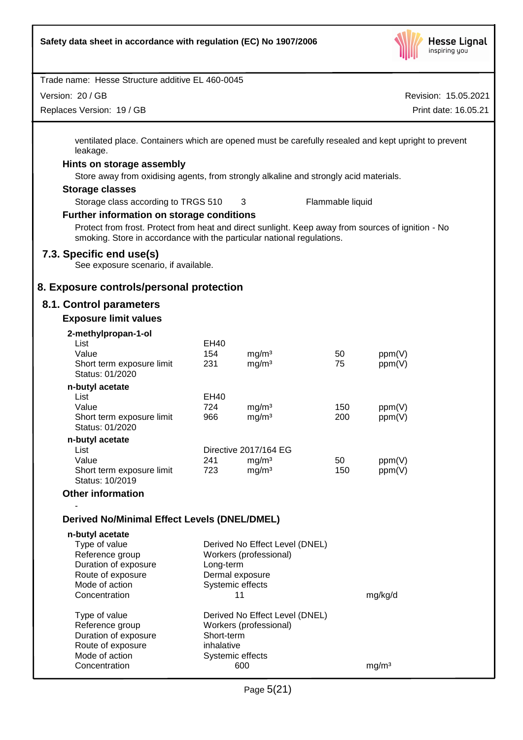

| Trade name: Hesse Structure additive EL 460-0045                                                                                                                             |            |                                        |                  |                      |
|------------------------------------------------------------------------------------------------------------------------------------------------------------------------------|------------|----------------------------------------|------------------|----------------------|
| Version: 20 / GB                                                                                                                                                             |            |                                        |                  | Revision: 15.05.2021 |
| Replaces Version: 19 / GB                                                                                                                                                    |            |                                        |                  | Print date: 16.05.21 |
| ventilated place. Containers which are opened must be carefully resealed and kept upright to prevent<br>leakage.                                                             |            |                                        |                  |                      |
| Hints on storage assembly                                                                                                                                                    |            |                                        |                  |                      |
| Store away from oxidising agents, from strongly alkaline and strongly acid materials.                                                                                        |            |                                        |                  |                      |
| <b>Storage classes</b>                                                                                                                                                       |            |                                        |                  |                      |
| Storage class according to TRGS 510                                                                                                                                          |            | 3                                      | Flammable liquid |                      |
| <b>Further information on storage conditions</b>                                                                                                                             |            |                                        |                  |                      |
| Protect from frost. Protect from heat and direct sunlight. Keep away from sources of ignition - No<br>smoking. Store in accordance with the particular national regulations. |            |                                        |                  |                      |
| 7.3. Specific end use(s)<br>See exposure scenario, if available.                                                                                                             |            |                                        |                  |                      |
| 8. Exposure controls/personal protection                                                                                                                                     |            |                                        |                  |                      |
| 8.1. Control parameters                                                                                                                                                      |            |                                        |                  |                      |
| <b>Exposure limit values</b>                                                                                                                                                 |            |                                        |                  |                      |
| 2-methylpropan-1-ol                                                                                                                                                          |            |                                        |                  |                      |
| List                                                                                                                                                                         | EH40       |                                        |                  |                      |
| Value<br>Short term exposure limit                                                                                                                                           | 154<br>231 | mg/m <sup>3</sup><br>mg/m <sup>3</sup> | 50<br>75         | ppm(V)<br>ppm(V)     |
| Status: 01/2020                                                                                                                                                              |            |                                        |                  |                      |
| n-butyl acetate                                                                                                                                                              |            |                                        |                  |                      |
| List                                                                                                                                                                         | EH40       |                                        |                  |                      |
| Value<br>Short term exposure limit                                                                                                                                           | 724<br>966 | mg/m <sup>3</sup><br>mg/m <sup>3</sup> | 150<br>200       | ppm(V)<br>ppm(V)     |
| Status: 01/2020                                                                                                                                                              |            |                                        |                  |                      |
| n-butyl acetate                                                                                                                                                              |            |                                        |                  |                      |
| List                                                                                                                                                                         |            | Directive 2017/164 EG                  |                  |                      |
| Value<br>Short term exposure limit                                                                                                                                           | 241<br>723 | mg/m <sup>3</sup><br>mg/m <sup>3</sup> | 50<br>150        | ppm(V)<br>ppm(V)     |
| Status: 10/2019                                                                                                                                                              |            |                                        |                  |                      |
| <b>Other information</b>                                                                                                                                                     |            |                                        |                  |                      |
| <b>Derived No/Minimal Effect Levels (DNEL/DMEL)</b>                                                                                                                          |            |                                        |                  |                      |
| n-butyl acetate                                                                                                                                                              |            |                                        |                  |                      |
| Type of value                                                                                                                                                                |            | Derived No Effect Level (DNEL)         |                  |                      |
| Reference group<br>Duration of exposure                                                                                                                                      | Long-term  | Workers (professional)                 |                  |                      |
| Route of exposure                                                                                                                                                            |            | Dermal exposure                        |                  |                      |
| Mode of action                                                                                                                                                               |            | Systemic effects                       |                  |                      |
| Concentration                                                                                                                                                                |            | 11                                     |                  | mg/kg/d              |
| Type of value                                                                                                                                                                |            | Derived No Effect Level (DNEL)         |                  |                      |
| Reference group                                                                                                                                                              |            | Workers (professional)                 |                  |                      |
| Duration of exposure                                                                                                                                                         | Short-term |                                        |                  |                      |
| Route of exposure<br>Mode of action                                                                                                                                          | inhalative | Systemic effects                       |                  |                      |
| Concentration                                                                                                                                                                |            | 600                                    |                  | mg/m <sup>3</sup>    |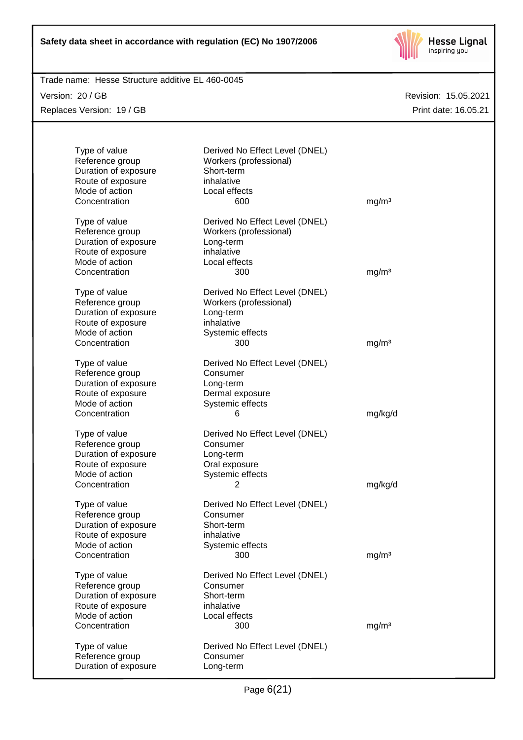

Trade name: Hesse Structure additive EL 460-0045

Version: 20 / GB Replaces Version: 19 / GB

| Type of value<br>Reference group<br>Duration of exposure<br>Route of exposure<br>Mode of action<br>Concentration | Derived No Effect Level (DNEL)<br>Workers (professional)<br>Short-term<br>inhalative<br>Local effects<br>600   | mg/m <sup>3</sup> |
|------------------------------------------------------------------------------------------------------------------|----------------------------------------------------------------------------------------------------------------|-------------------|
| Type of value<br>Reference group<br>Duration of exposure<br>Route of exposure<br>Mode of action<br>Concentration | Derived No Effect Level (DNEL)<br>Workers (professional)<br>Long-term<br>inhalative<br>Local effects<br>300    | mg/m <sup>3</sup> |
| Type of value<br>Reference group<br>Duration of exposure<br>Route of exposure<br>Mode of action<br>Concentration | Derived No Effect Level (DNEL)<br>Workers (professional)<br>Long-term<br>inhalative<br>Systemic effects<br>300 | mg/m <sup>3</sup> |
| Type of value<br>Reference group<br>Duration of exposure<br>Route of exposure<br>Mode of action<br>Concentration | Derived No Effect Level (DNEL)<br>Consumer<br>Long-term<br>Dermal exposure<br>Systemic effects<br>6            | mg/kg/d           |
| Type of value<br>Reference group<br>Duration of exposure<br>Route of exposure<br>Mode of action<br>Concentration | Derived No Effect Level (DNEL)<br>Consumer<br>Long-term<br>Oral exposure<br>Systemic effects<br>2              | mg/kg/d           |
| Type of value<br>Reference group<br>Duration of exposure<br>Route of exposure<br>Mode of action<br>Concentration | Derived No Effect Level (DNEL)<br>Consumer<br>Short-term<br>inhalative<br>Systemic effects<br>300              | mg/m <sup>3</sup> |
| Type of value<br>Reference group<br>Duration of exposure<br>Route of exposure<br>Mode of action<br>Concentration | Derived No Effect Level (DNEL)<br>Consumer<br>Short-term<br>inhalative<br>Local effects<br>300                 | mg/m <sup>3</sup> |
| Type of value<br>Reference group<br>Duration of exposure                                                         | Derived No Effect Level (DNEL)<br>Consumer<br>Long-term                                                        |                   |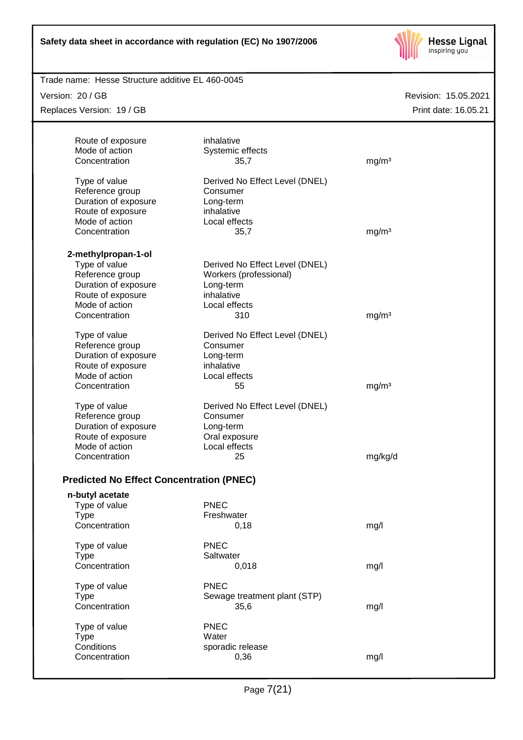

| Trade name: Hesse Structure additive EL 460-0045 |                                |                      |
|--------------------------------------------------|--------------------------------|----------------------|
| Version: 20 / GB                                 |                                | Revision: 15.05.2021 |
| Replaces Version: 19 / GB                        |                                | Print date: 16.05.21 |
|                                                  |                                |                      |
| Route of exposure                                | inhalative                     |                      |
| Mode of action                                   | Systemic effects               |                      |
| Concentration                                    | 35,7                           | mg/m <sup>3</sup>    |
|                                                  |                                |                      |
| Type of value                                    | Derived No Effect Level (DNEL) |                      |
| Reference group                                  | Consumer                       |                      |
| Duration of exposure                             | Long-term                      |                      |
| Route of exposure                                | inhalative                     |                      |
| Mode of action                                   | Local effects                  |                      |
|                                                  |                                |                      |
| Concentration                                    | 35,7                           | mg/m <sup>3</sup>    |
|                                                  |                                |                      |
| 2-methylpropan-1-ol                              |                                |                      |
| Type of value                                    | Derived No Effect Level (DNEL) |                      |
| Reference group                                  | Workers (professional)         |                      |
| Duration of exposure                             | Long-term                      |                      |
| Route of exposure                                | inhalative                     |                      |
| Mode of action                                   | Local effects                  |                      |
| Concentration                                    | 310                            | mg/m <sup>3</sup>    |
|                                                  |                                |                      |
| Type of value                                    | Derived No Effect Level (DNEL) |                      |
| Reference group                                  | Consumer                       |                      |
| Duration of exposure                             | Long-term                      |                      |
| Route of exposure                                | inhalative                     |                      |
| Mode of action                                   | Local effects                  |                      |
| Concentration                                    | 55                             | mg/m <sup>3</sup>    |
|                                                  |                                |                      |
| Type of value                                    | Derived No Effect Level (DNEL) |                      |
| Reference group                                  | Consumer                       |                      |
| Duration of exposure                             | Long-term                      |                      |
| Route of exposure                                | Oral exposure                  |                      |
| Mode of action                                   | Local effects                  |                      |
| Concentration                                    | 25                             | mg/kg/d              |
|                                                  |                                |                      |
| <b>Predicted No Effect Concentration (PNEC)</b>  |                                |                      |
|                                                  |                                |                      |
| n-butyl acetate                                  |                                |                      |
| Type of value                                    | <b>PNEC</b>                    |                      |
| <b>Type</b>                                      | Freshwater                     |                      |
| Concentration                                    | 0,18                           | mg/l                 |
|                                                  |                                |                      |
| Type of value                                    | <b>PNEC</b>                    |                      |
| <b>Type</b>                                      | Saltwater                      |                      |
| Concentration                                    | 0,018                          | mg/l                 |
|                                                  |                                |                      |
| Type of value                                    | <b>PNEC</b>                    |                      |
| <b>Type</b>                                      | Sewage treatment plant (STP)   |                      |
| Concentration                                    | 35,6                           | mg/l                 |
|                                                  |                                |                      |
| Type of value                                    | <b>PNEC</b>                    |                      |
| <b>Type</b>                                      | Water                          |                      |
| Conditions                                       | sporadic release               |                      |
| Concentration                                    | 0,36                           | mg/l                 |
|                                                  |                                |                      |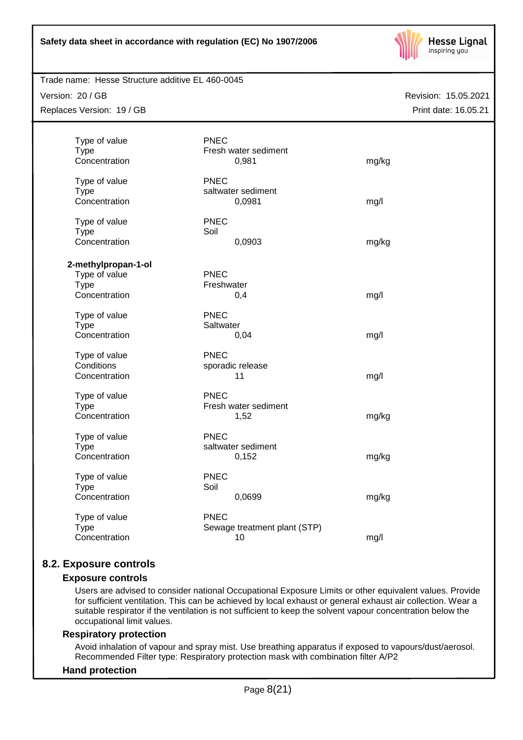

#### Trade name: Hesse Structure additive EL 460-0045

Version: 20 / GB

Replaces Version: 19 / GB

Revision: 15.05.2021 Print date: 16.05.21

| Type of value<br><b>Type</b><br>Concentration | <b>PNEC</b>               | Fresh water sediment<br>0,981      | mg/kg |
|-----------------------------------------------|---------------------------|------------------------------------|-------|
| Type of value<br><b>Type</b><br>Concentration | <b>PNEC</b>               | saltwater sediment<br>0,0981       | mg/l  |
| Type of value<br><b>Type</b><br>Concentration | <b>PNEC</b><br>Soil       | 0,0903                             | mg/kg |
| 2-methylpropan-1-ol                           |                           |                                    |       |
| Type of value<br><b>Type</b><br>Concentration | <b>PNEC</b><br>Freshwater | 0,4                                | mg/l  |
| Type of value<br><b>Type</b><br>Concentration | <b>PNEC</b><br>Saltwater  | 0,04                               | mg/l  |
| Type of value<br>Conditions<br>Concentration  | <b>PNEC</b>               | sporadic release<br>11             | mg/l  |
| Type of value<br><b>Type</b><br>Concentration | <b>PNEC</b>               | Fresh water sediment<br>1,52       | mg/kg |
| Type of value<br><b>Type</b><br>Concentration | <b>PNEC</b>               | saltwater sediment<br>0,152        | mg/kg |
| Type of value<br><b>Type</b><br>Concentration | <b>PNEC</b><br>Soil       | 0,0699                             | mg/kg |
| Type of value<br><b>Type</b><br>Concentration | <b>PNEC</b>               | Sewage treatment plant (STP)<br>10 | mg/l  |

# **8.2. Exposure controls**

#### **Exposure controls**

Users are advised to consider national Occupational Exposure Limits or other equivalent values. Provide for sufficient ventilation. This can be achieved by local exhaust or general exhaust air collection. Wear a suitable respirator if the ventilation is not sufficient to keep the solvent vapour concentration below the occupational limit values.

#### **Respiratory protection**

Avoid inhalation of vapour and spray mist. Use breathing apparatus if exposed to vapours/dust/aerosol. Recommended Filter type: Respiratory protection mask with combination filter A/P2

#### **Hand protection**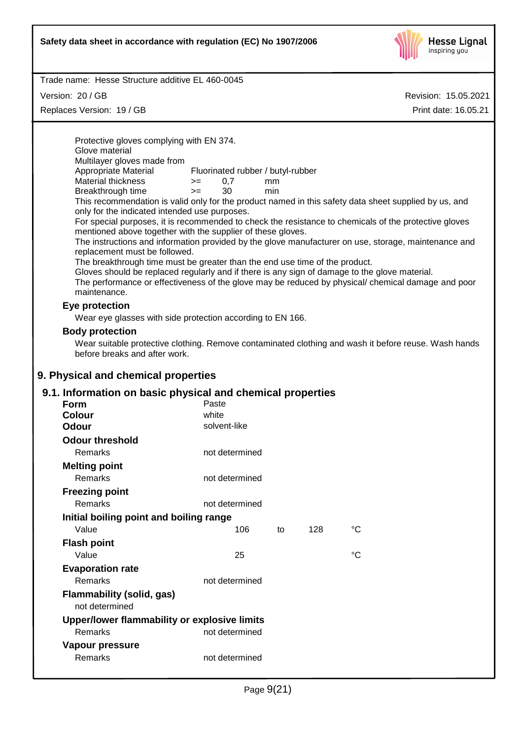

Trade name: Hesse Structure additive EL 460-0045

Version: 20 / GB

Replaces Version: 19 / GB

Revision: 15.05.2021 Print date: 16.05.21

Protective gloves complying with EN 374. Glove material Multilayer gloves made from<br>Appropriate Material Fluorinated rubber / butyl-rubber  $M$ aterial thickness  $= 0.7$  mm Breakthrough time >= 30 min This recommendation is valid only for the product named in this safety data sheet supplied by us, and only for the indicated intended use purposes. For special purposes, it is recommended to check the resistance to chemicals of the protective gloves mentioned above together with the supplier of these gloves. The instructions and information provided by the glove manufacturer on use, storage, maintenance and replacement must be followed. The breakthrough time must be greater than the end use time of the product. Gloves should be replaced regularly and if there is any sign of damage to the glove material. The performance or effectiveness of the glove may be reduced by physical/ chemical damage and poor maintenance. **Eye protection** Wear eye glasses with side protection according to EN 166. **Body protection** Wear suitable protective clothing. Remove contaminated clothing and wash it before reuse. Wash hands before breaks and after work. **9. Physical and chemical properties 9.1. Information on basic physical and chemical properties Form** Paste **Colour** white **Odour** solvent-like **Odour threshold** Remarks not determined **Melting point** Remarks not determined **Freezing point** Remarks not determined **Initial boiling point and boiling range** Value **106** to 128 °C **Flash point** Value 25 °C

| <b>Evaporation rate</b>          |  |
|----------------------------------|--|
| Remarks                          |  |
| <b>Flammability (solid, gas)</b> |  |

| not determined                               |                |
|----------------------------------------------|----------------|
| Upper/lower flammability or explosive limits |                |
| Remarks                                      | not determined |
| Vapour pressure                              |                |
| Remarks                                      | not determined |

not determined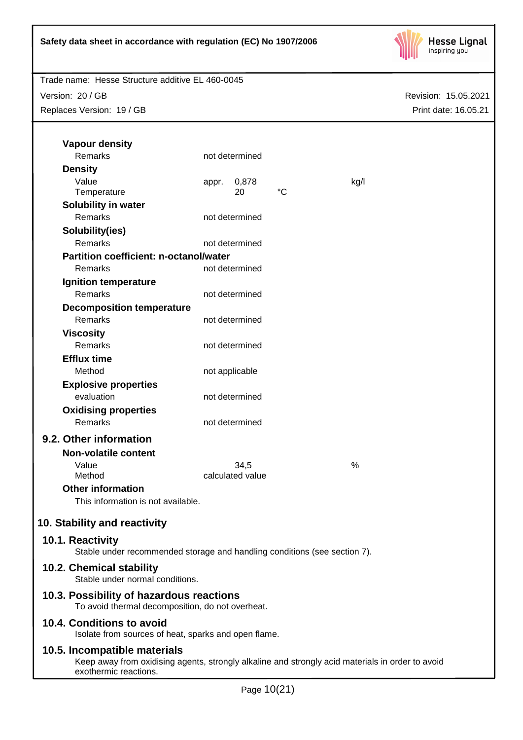

Version: 20 / GB Replaces Version: 19 / GB

| <b>Vapour density</b><br>Remarks                                                              |       | not determined   |             |                                                                                                  |  |
|-----------------------------------------------------------------------------------------------|-------|------------------|-------------|--------------------------------------------------------------------------------------------------|--|
|                                                                                               |       |                  |             |                                                                                                  |  |
| <b>Density</b><br>Value                                                                       |       | 0,878            |             | kg/l                                                                                             |  |
| Temperature                                                                                   | appr. | 20               | $^{\circ}C$ |                                                                                                  |  |
| Solubility in water                                                                           |       |                  |             |                                                                                                  |  |
| Remarks                                                                                       |       | not determined   |             |                                                                                                  |  |
| Solubility(ies)                                                                               |       |                  |             |                                                                                                  |  |
| Remarks                                                                                       |       | not determined   |             |                                                                                                  |  |
| <b>Partition coefficient: n-octanol/water</b>                                                 |       |                  |             |                                                                                                  |  |
| Remarks                                                                                       |       | not determined   |             |                                                                                                  |  |
| Ignition temperature                                                                          |       |                  |             |                                                                                                  |  |
| Remarks                                                                                       |       | not determined   |             |                                                                                                  |  |
| <b>Decomposition temperature</b>                                                              |       |                  |             |                                                                                                  |  |
| Remarks                                                                                       |       | not determined   |             |                                                                                                  |  |
| <b>Viscosity</b>                                                                              |       |                  |             |                                                                                                  |  |
| Remarks                                                                                       |       | not determined   |             |                                                                                                  |  |
| <b>Efflux time</b>                                                                            |       |                  |             |                                                                                                  |  |
| Method                                                                                        |       | not applicable   |             |                                                                                                  |  |
| <b>Explosive properties</b>                                                                   |       |                  |             |                                                                                                  |  |
| evaluation                                                                                    |       | not determined   |             |                                                                                                  |  |
| <b>Oxidising properties</b>                                                                   |       |                  |             |                                                                                                  |  |
| Remarks                                                                                       |       | not determined   |             |                                                                                                  |  |
| 9.2. Other information                                                                        |       |                  |             |                                                                                                  |  |
| <b>Non-volatile content</b>                                                                   |       |                  |             |                                                                                                  |  |
| Value                                                                                         |       | 34,5             |             | %                                                                                                |  |
| Method                                                                                        |       | calculated value |             |                                                                                                  |  |
| <b>Other information</b>                                                                      |       |                  |             |                                                                                                  |  |
| This information is not available.                                                            |       |                  |             |                                                                                                  |  |
| 10. Stability and reactivity                                                                  |       |                  |             |                                                                                                  |  |
| 10.1. Reactivity<br>Stable under recommended storage and handling conditions (see section 7). |       |                  |             |                                                                                                  |  |
| 10.2. Chemical stability<br>Stable under normal conditions.                                   |       |                  |             |                                                                                                  |  |
| 10.3. Possibility of hazardous reactions<br>To avoid thermal decomposition, do not overheat.  |       |                  |             |                                                                                                  |  |
| 10.4. Conditions to avoid<br>Isolate from sources of heat, sparks and open flame.             |       |                  |             |                                                                                                  |  |
| 10.5. Incompatible materials<br>exothermic reactions.                                         |       |                  |             | Keep away from oxidising agents, strongly alkaline and strongly acid materials in order to avoid |  |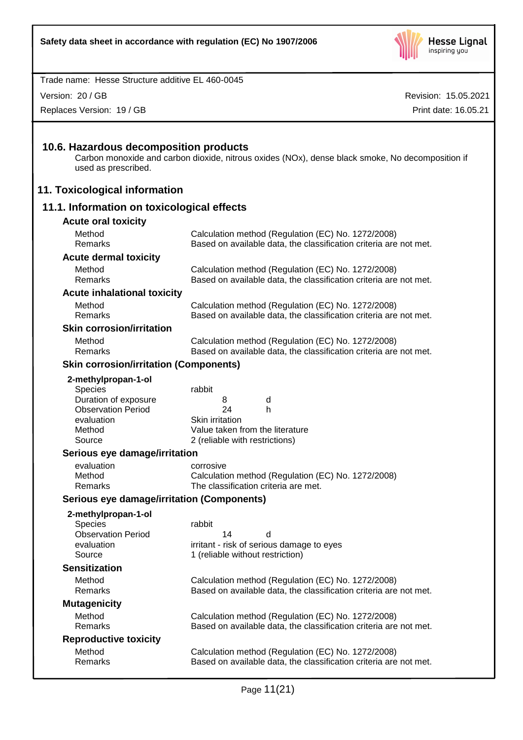

Version: 20 / GB

Replaces Version: 19 / GB

Revision: 15.05.2021 Print date: 16.05.21

# **10.6. Hazardous decomposition products**

Carbon monoxide and carbon dioxide, nitrous oxides (NOx), dense black smoke, No decomposition if used as prescribed.

# **11. Toxicological information**

# **11.1. Information on toxicological effects**

| <b>Acute oral toxicity</b>                    |                                                                                                                         |
|-----------------------------------------------|-------------------------------------------------------------------------------------------------------------------------|
| Method<br>Remarks                             | Calculation method (Regulation (EC) No. 1272/2008)<br>Based on available data, the classification criteria are not met. |
| <b>Acute dermal toxicity</b>                  |                                                                                                                         |
| Method                                        | Calculation method (Regulation (EC) No. 1272/2008)                                                                      |
| Remarks                                       | Based on available data, the classification criteria are not met.                                                       |
| <b>Acute inhalational toxicity</b>            |                                                                                                                         |
| Method<br>Remarks                             | Calculation method (Regulation (EC) No. 1272/2008)                                                                      |
|                                               | Based on available data, the classification criteria are not met.                                                       |
| <b>Skin corrosion/irritation</b>              |                                                                                                                         |
| Method<br>Remarks                             | Calculation method (Regulation (EC) No. 1272/2008)<br>Based on available data, the classification criteria are not met. |
|                                               |                                                                                                                         |
| <b>Skin corrosion/irritation (Components)</b> |                                                                                                                         |
| 2-methylpropan-1-ol                           |                                                                                                                         |
| Species<br>Duration of exposure               | rabbit<br>d<br>8                                                                                                        |
| <b>Observation Period</b>                     | 24<br>h                                                                                                                 |
| evaluation                                    | Skin irritation                                                                                                         |
| Method                                        | Value taken from the literature                                                                                         |
| Source                                        | 2 (reliable with restrictions)                                                                                          |
|                                               |                                                                                                                         |
| Serious eye damage/irritation                 |                                                                                                                         |
| evaluation                                    | corrosive                                                                                                               |
| Method                                        | Calculation method (Regulation (EC) No. 1272/2008)                                                                      |
| Remarks                                       | The classification criteria are met.                                                                                    |
| Serious eye damage/irritation (Components)    |                                                                                                                         |
| 2-methylpropan-1-ol                           |                                                                                                                         |
| <b>Species</b>                                | rabbit                                                                                                                  |
| <b>Observation Period</b><br>evaluation       | 14<br>d                                                                                                                 |
| Source                                        | irritant - risk of serious damage to eyes<br>1 (reliable without restriction)                                           |
| <b>Sensitization</b>                          |                                                                                                                         |
| Method                                        |                                                                                                                         |
| Remarks                                       | Calculation method (Regulation (EC) No. 1272/2008)<br>Based on available data, the classification criteria are not met. |
| <b>Mutagenicity</b>                           |                                                                                                                         |
| Method                                        | Calculation method (Regulation (EC) No. 1272/2008)                                                                      |
| Remarks                                       | Based on available data, the classification criteria are not met.                                                       |
| <b>Reproductive toxicity</b>                  |                                                                                                                         |
| Method                                        | Calculation method (Regulation (EC) No. 1272/2008)                                                                      |
| Remarks                                       | Based on available data, the classification criteria are not met.                                                       |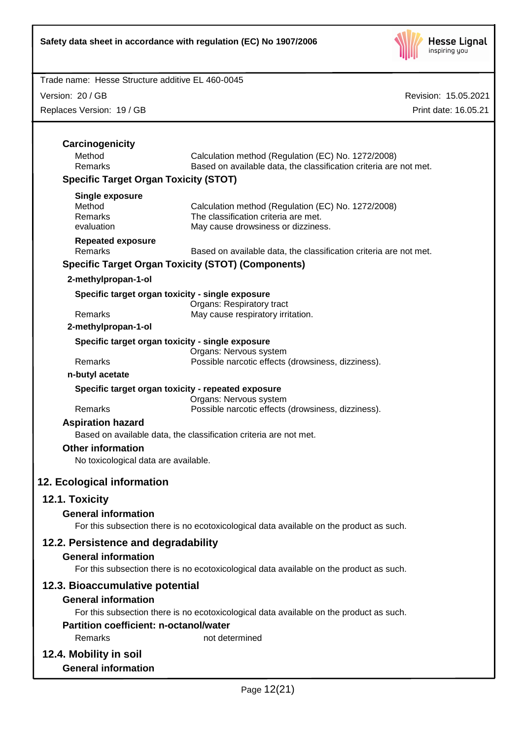

Version: 20 / GB

Replaces Version: 19 / GB

| Carcinogenicity<br>Method<br>Calculation method (Regulation (EC) No. 1272/2008)<br>Remarks<br>Based on available data, the classification criteria are not met.<br><b>Specific Target Organ Toxicity (STOT)</b><br><b>Single exposure</b><br>Method<br>Calculation method (Regulation (EC) No. 1272/2008)<br>Remarks<br>The classification criteria are met.<br>evaluation<br>May cause drowsiness or dizziness.<br><b>Repeated exposure</b><br>Remarks<br>Based on available data, the classification criteria are not met.<br><b>Specific Target Organ Toxicity (STOT) (Components)</b><br>2-methylpropan-1-ol<br>Specific target organ toxicity - single exposure<br>Organs: Respiratory tract<br>Remarks<br>May cause respiratory irritation.<br>2-methylpropan-1-ol<br>Specific target organ toxicity - single exposure<br>Organs: Nervous system<br>Remarks<br>Possible narcotic effects (drowsiness, dizziness).<br>n-butyl acetate<br>Specific target organ toxicity - repeated exposure<br>Organs: Nervous system<br>Remarks<br>Possible narcotic effects (drowsiness, dizziness).<br><b>Aspiration hazard</b><br>Based on available data, the classification criteria are not met.<br><b>Other information</b><br>No toxicological data are available.<br>12.1. Toxicity<br><b>General information</b><br>For this subsection there is no ecotoxicological data available on the product as such.<br>12.2. Persistence and degradability<br><b>General information</b><br>For this subsection there is no ecotoxicological data available on the product as such.<br>12.3. Bioaccumulative potential<br><b>General information</b><br>For this subsection there is no ecotoxicological data available on the product as such.<br><b>Partition coefficient: n-octanol/water</b><br>Remarks<br>not determined<br>12.4. Mobility in soil |                            |  |
|-------------------------------------------------------------------------------------------------------------------------------------------------------------------------------------------------------------------------------------------------------------------------------------------------------------------------------------------------------------------------------------------------------------------------------------------------------------------------------------------------------------------------------------------------------------------------------------------------------------------------------------------------------------------------------------------------------------------------------------------------------------------------------------------------------------------------------------------------------------------------------------------------------------------------------------------------------------------------------------------------------------------------------------------------------------------------------------------------------------------------------------------------------------------------------------------------------------------------------------------------------------------------------------------------------------------------------------------------------------------------------------------------------------------------------------------------------------------------------------------------------------------------------------------------------------------------------------------------------------------------------------------------------------------------------------------------------------------------------------------------------------------------------------------------------------------------------------------------|----------------------------|--|
|                                                                                                                                                                                                                                                                                                                                                                                                                                                                                                                                                                                                                                                                                                                                                                                                                                                                                                                                                                                                                                                                                                                                                                                                                                                                                                                                                                                                                                                                                                                                                                                                                                                                                                                                                                                                                                                 |                            |  |
|                                                                                                                                                                                                                                                                                                                                                                                                                                                                                                                                                                                                                                                                                                                                                                                                                                                                                                                                                                                                                                                                                                                                                                                                                                                                                                                                                                                                                                                                                                                                                                                                                                                                                                                                                                                                                                                 |                            |  |
|                                                                                                                                                                                                                                                                                                                                                                                                                                                                                                                                                                                                                                                                                                                                                                                                                                                                                                                                                                                                                                                                                                                                                                                                                                                                                                                                                                                                                                                                                                                                                                                                                                                                                                                                                                                                                                                 |                            |  |
|                                                                                                                                                                                                                                                                                                                                                                                                                                                                                                                                                                                                                                                                                                                                                                                                                                                                                                                                                                                                                                                                                                                                                                                                                                                                                                                                                                                                                                                                                                                                                                                                                                                                                                                                                                                                                                                 |                            |  |
|                                                                                                                                                                                                                                                                                                                                                                                                                                                                                                                                                                                                                                                                                                                                                                                                                                                                                                                                                                                                                                                                                                                                                                                                                                                                                                                                                                                                                                                                                                                                                                                                                                                                                                                                                                                                                                                 |                            |  |
|                                                                                                                                                                                                                                                                                                                                                                                                                                                                                                                                                                                                                                                                                                                                                                                                                                                                                                                                                                                                                                                                                                                                                                                                                                                                                                                                                                                                                                                                                                                                                                                                                                                                                                                                                                                                                                                 |                            |  |
|                                                                                                                                                                                                                                                                                                                                                                                                                                                                                                                                                                                                                                                                                                                                                                                                                                                                                                                                                                                                                                                                                                                                                                                                                                                                                                                                                                                                                                                                                                                                                                                                                                                                                                                                                                                                                                                 |                            |  |
|                                                                                                                                                                                                                                                                                                                                                                                                                                                                                                                                                                                                                                                                                                                                                                                                                                                                                                                                                                                                                                                                                                                                                                                                                                                                                                                                                                                                                                                                                                                                                                                                                                                                                                                                                                                                                                                 |                            |  |
|                                                                                                                                                                                                                                                                                                                                                                                                                                                                                                                                                                                                                                                                                                                                                                                                                                                                                                                                                                                                                                                                                                                                                                                                                                                                                                                                                                                                                                                                                                                                                                                                                                                                                                                                                                                                                                                 |                            |  |
|                                                                                                                                                                                                                                                                                                                                                                                                                                                                                                                                                                                                                                                                                                                                                                                                                                                                                                                                                                                                                                                                                                                                                                                                                                                                                                                                                                                                                                                                                                                                                                                                                                                                                                                                                                                                                                                 |                            |  |
|                                                                                                                                                                                                                                                                                                                                                                                                                                                                                                                                                                                                                                                                                                                                                                                                                                                                                                                                                                                                                                                                                                                                                                                                                                                                                                                                                                                                                                                                                                                                                                                                                                                                                                                                                                                                                                                 |                            |  |
|                                                                                                                                                                                                                                                                                                                                                                                                                                                                                                                                                                                                                                                                                                                                                                                                                                                                                                                                                                                                                                                                                                                                                                                                                                                                                                                                                                                                                                                                                                                                                                                                                                                                                                                                                                                                                                                 |                            |  |
|                                                                                                                                                                                                                                                                                                                                                                                                                                                                                                                                                                                                                                                                                                                                                                                                                                                                                                                                                                                                                                                                                                                                                                                                                                                                                                                                                                                                                                                                                                                                                                                                                                                                                                                                                                                                                                                 |                            |  |
|                                                                                                                                                                                                                                                                                                                                                                                                                                                                                                                                                                                                                                                                                                                                                                                                                                                                                                                                                                                                                                                                                                                                                                                                                                                                                                                                                                                                                                                                                                                                                                                                                                                                                                                                                                                                                                                 |                            |  |
|                                                                                                                                                                                                                                                                                                                                                                                                                                                                                                                                                                                                                                                                                                                                                                                                                                                                                                                                                                                                                                                                                                                                                                                                                                                                                                                                                                                                                                                                                                                                                                                                                                                                                                                                                                                                                                                 |                            |  |
|                                                                                                                                                                                                                                                                                                                                                                                                                                                                                                                                                                                                                                                                                                                                                                                                                                                                                                                                                                                                                                                                                                                                                                                                                                                                                                                                                                                                                                                                                                                                                                                                                                                                                                                                                                                                                                                 |                            |  |
|                                                                                                                                                                                                                                                                                                                                                                                                                                                                                                                                                                                                                                                                                                                                                                                                                                                                                                                                                                                                                                                                                                                                                                                                                                                                                                                                                                                                                                                                                                                                                                                                                                                                                                                                                                                                                                                 |                            |  |
|                                                                                                                                                                                                                                                                                                                                                                                                                                                                                                                                                                                                                                                                                                                                                                                                                                                                                                                                                                                                                                                                                                                                                                                                                                                                                                                                                                                                                                                                                                                                                                                                                                                                                                                                                                                                                                                 |                            |  |
|                                                                                                                                                                                                                                                                                                                                                                                                                                                                                                                                                                                                                                                                                                                                                                                                                                                                                                                                                                                                                                                                                                                                                                                                                                                                                                                                                                                                                                                                                                                                                                                                                                                                                                                                                                                                                                                 |                            |  |
|                                                                                                                                                                                                                                                                                                                                                                                                                                                                                                                                                                                                                                                                                                                                                                                                                                                                                                                                                                                                                                                                                                                                                                                                                                                                                                                                                                                                                                                                                                                                                                                                                                                                                                                                                                                                                                                 |                            |  |
|                                                                                                                                                                                                                                                                                                                                                                                                                                                                                                                                                                                                                                                                                                                                                                                                                                                                                                                                                                                                                                                                                                                                                                                                                                                                                                                                                                                                                                                                                                                                                                                                                                                                                                                                                                                                                                                 |                            |  |
|                                                                                                                                                                                                                                                                                                                                                                                                                                                                                                                                                                                                                                                                                                                                                                                                                                                                                                                                                                                                                                                                                                                                                                                                                                                                                                                                                                                                                                                                                                                                                                                                                                                                                                                                                                                                                                                 |                            |  |
|                                                                                                                                                                                                                                                                                                                                                                                                                                                                                                                                                                                                                                                                                                                                                                                                                                                                                                                                                                                                                                                                                                                                                                                                                                                                                                                                                                                                                                                                                                                                                                                                                                                                                                                                                                                                                                                 |                            |  |
|                                                                                                                                                                                                                                                                                                                                                                                                                                                                                                                                                                                                                                                                                                                                                                                                                                                                                                                                                                                                                                                                                                                                                                                                                                                                                                                                                                                                                                                                                                                                                                                                                                                                                                                                                                                                                                                 | 12. Ecological information |  |
|                                                                                                                                                                                                                                                                                                                                                                                                                                                                                                                                                                                                                                                                                                                                                                                                                                                                                                                                                                                                                                                                                                                                                                                                                                                                                                                                                                                                                                                                                                                                                                                                                                                                                                                                                                                                                                                 |                            |  |
|                                                                                                                                                                                                                                                                                                                                                                                                                                                                                                                                                                                                                                                                                                                                                                                                                                                                                                                                                                                                                                                                                                                                                                                                                                                                                                                                                                                                                                                                                                                                                                                                                                                                                                                                                                                                                                                 |                            |  |
|                                                                                                                                                                                                                                                                                                                                                                                                                                                                                                                                                                                                                                                                                                                                                                                                                                                                                                                                                                                                                                                                                                                                                                                                                                                                                                                                                                                                                                                                                                                                                                                                                                                                                                                                                                                                                                                 |                            |  |
|                                                                                                                                                                                                                                                                                                                                                                                                                                                                                                                                                                                                                                                                                                                                                                                                                                                                                                                                                                                                                                                                                                                                                                                                                                                                                                                                                                                                                                                                                                                                                                                                                                                                                                                                                                                                                                                 |                            |  |
|                                                                                                                                                                                                                                                                                                                                                                                                                                                                                                                                                                                                                                                                                                                                                                                                                                                                                                                                                                                                                                                                                                                                                                                                                                                                                                                                                                                                                                                                                                                                                                                                                                                                                                                                                                                                                                                 |                            |  |
|                                                                                                                                                                                                                                                                                                                                                                                                                                                                                                                                                                                                                                                                                                                                                                                                                                                                                                                                                                                                                                                                                                                                                                                                                                                                                                                                                                                                                                                                                                                                                                                                                                                                                                                                                                                                                                                 |                            |  |
|                                                                                                                                                                                                                                                                                                                                                                                                                                                                                                                                                                                                                                                                                                                                                                                                                                                                                                                                                                                                                                                                                                                                                                                                                                                                                                                                                                                                                                                                                                                                                                                                                                                                                                                                                                                                                                                 |                            |  |
|                                                                                                                                                                                                                                                                                                                                                                                                                                                                                                                                                                                                                                                                                                                                                                                                                                                                                                                                                                                                                                                                                                                                                                                                                                                                                                                                                                                                                                                                                                                                                                                                                                                                                                                                                                                                                                                 |                            |  |
|                                                                                                                                                                                                                                                                                                                                                                                                                                                                                                                                                                                                                                                                                                                                                                                                                                                                                                                                                                                                                                                                                                                                                                                                                                                                                                                                                                                                                                                                                                                                                                                                                                                                                                                                                                                                                                                 |                            |  |
|                                                                                                                                                                                                                                                                                                                                                                                                                                                                                                                                                                                                                                                                                                                                                                                                                                                                                                                                                                                                                                                                                                                                                                                                                                                                                                                                                                                                                                                                                                                                                                                                                                                                                                                                                                                                                                                 |                            |  |
|                                                                                                                                                                                                                                                                                                                                                                                                                                                                                                                                                                                                                                                                                                                                                                                                                                                                                                                                                                                                                                                                                                                                                                                                                                                                                                                                                                                                                                                                                                                                                                                                                                                                                                                                                                                                                                                 |                            |  |
|                                                                                                                                                                                                                                                                                                                                                                                                                                                                                                                                                                                                                                                                                                                                                                                                                                                                                                                                                                                                                                                                                                                                                                                                                                                                                                                                                                                                                                                                                                                                                                                                                                                                                                                                                                                                                                                 |                            |  |
|                                                                                                                                                                                                                                                                                                                                                                                                                                                                                                                                                                                                                                                                                                                                                                                                                                                                                                                                                                                                                                                                                                                                                                                                                                                                                                                                                                                                                                                                                                                                                                                                                                                                                                                                                                                                                                                 | <b>General information</b> |  |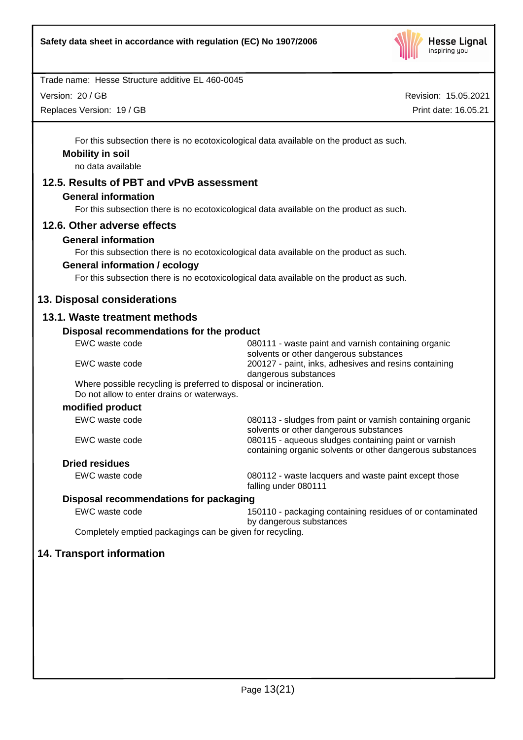

Version: 20 / GB

Replaces Version: 19 / GB

Revision: 15.05.2021 Print date: 16.05.21

For this subsection there is no ecotoxicological data available on the product as such.

# **Mobility in soil**

no data available

# **12.5. Results of PBT and vPvB assessment**

#### **General information**

For this subsection there is no ecotoxicological data available on the product as such.

#### **12.6. Other adverse effects**

#### **General information**

For this subsection there is no ecotoxicological data available on the product as such.

#### **General information / ecology**

For this subsection there is no ecotoxicological data available on the product as such.

# **13. Disposal considerations**

#### **13.1. Waste treatment methods**

#### **Disposal recommendations for the product**

| Proposal recommendations for the product                                                                         |                                                                                                                   |
|------------------------------------------------------------------------------------------------------------------|-------------------------------------------------------------------------------------------------------------------|
| EWC waste code                                                                                                   | 080111 - waste paint and varnish containing organic<br>solvents or other dangerous substances                     |
| EWC waste code                                                                                                   | 200127 - paint, inks, adhesives and resins containing<br>dangerous substances                                     |
| Where possible recycling is preferred to disposal or incineration.<br>Do not allow to enter drains or waterways. |                                                                                                                   |
| modified product                                                                                                 |                                                                                                                   |
| EWC waste code                                                                                                   | 080113 - sludges from paint or varnish containing organic<br>solvents or other dangerous substances               |
| EWC waste code                                                                                                   | 080115 - aqueous sludges containing paint or varnish<br>containing organic solvents or other dangerous substances |
| <b>Dried residues</b>                                                                                            |                                                                                                                   |
| EWC waste code                                                                                                   | 080112 - waste lacquers and waste paint except those<br>falling under 080111                                      |
| Disposal recommendations for packaging                                                                           |                                                                                                                   |
| EWC waste code                                                                                                   | 150110 - packaging containing residues of or contaminated<br>by dangerous substances                              |

Completely emptied packagings can be given for recycling.

# **14. Transport information**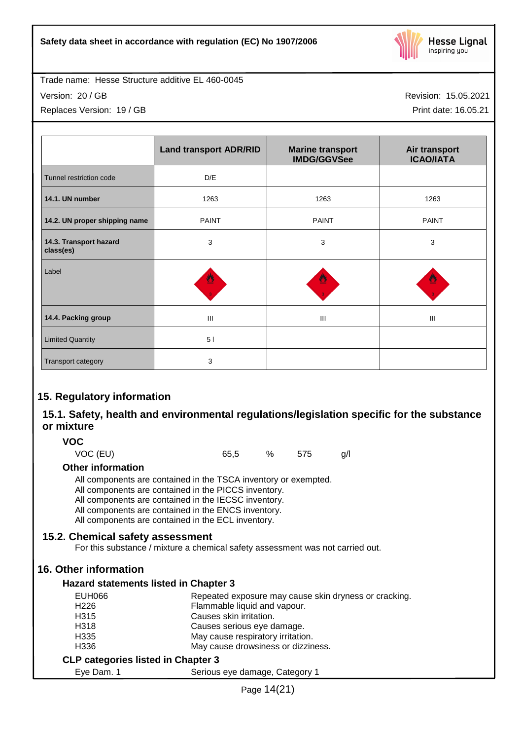

Version: 20 / GB

Replaces Version: 19 / GB

Revision: 15.05.2021

Print date: 16.05.21

|                                     | <b>Land transport ADR/RID</b> | <b>Marine transport</b><br><b>IMDG/GGVSee</b> | Air transport<br><b>ICAO/IATA</b> |
|-------------------------------------|-------------------------------|-----------------------------------------------|-----------------------------------|
| Tunnel restriction code             | D/E                           |                                               |                                   |
| 14.1. UN number                     | 1263                          | 1263                                          | 1263                              |
| 14.2. UN proper shipping name       | <b>PAINT</b>                  | <b>PAINT</b>                                  | <b>PAINT</b>                      |
| 14.3. Transport hazard<br>class(es) | 3                             | 3                                             | 3                                 |
| Label                               | 뿰                             |                                               |                                   |
| 14.4. Packing group                 | $\mathbf{III}$                | III                                           | $\mathbf{III}$                    |
| <b>Limited Quantity</b>             | 51                            |                                               |                                   |
| Transport category                  | 3                             |                                               |                                   |

# **15. Regulatory information**

# **15.1. Safety, health and environmental regulations/legislation specific for the substance or mixture**

#### **VOC**

VOC (EU) 65,5 % 575 g/l

#### **Other information**

All components are contained in the TSCA inventory or exempted.

All components are contained in the PICCS inventory.

All components are contained in the IECSC inventory.

All components are contained in the ENCS inventory.

All components are contained in the ECL inventory.

# **15.2. Chemical safety assessment**

For this substance / mixture a chemical safety assessment was not carried out.

# **16. Other information**

#### **Hazard statements listed in Chapter 3**

| EUH066                                    | Repeated exposure may cause skin dryness or cracking.                      |
|-------------------------------------------|----------------------------------------------------------------------------|
| H <sub>226</sub>                          | Flammable liquid and vapour.                                               |
| H <sub>315</sub>                          | Causes skin irritation.                                                    |
| H318                                      | Causes serious eye damage.                                                 |
| H <sub>335</sub>                          | May cause respiratory irritation.                                          |
| H <sub>336</sub>                          | May cause drowsiness or dizziness.                                         |
| <b>CLP categories listed in Chapter 3</b> |                                                                            |
|                                           | $\mathbf{Q}$ and $\mathbf{Q}$ are the set of $\mathbf{Q}$ and $\mathbf{Q}$ |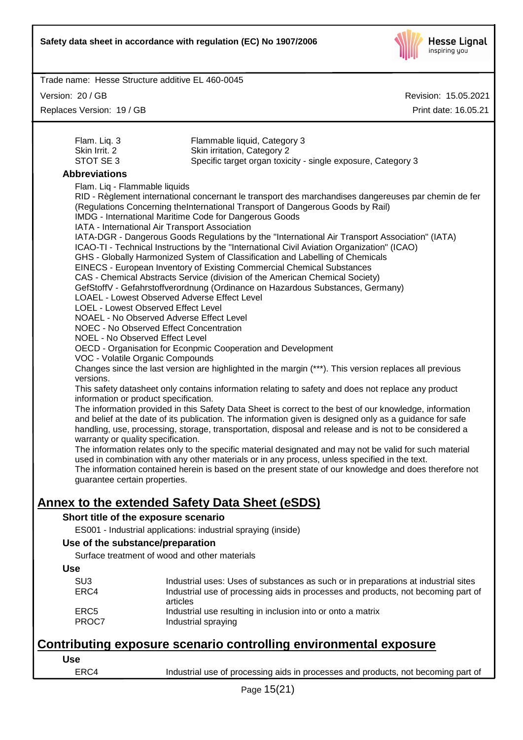

Version: 20 / GB

Replaces Version: 19 / GB

Revision: 15.05.2021 Print date: 16.05.21

| Flam. Liq. 3                  | Flammable liquid, Category 3                                                                         |
|-------------------------------|------------------------------------------------------------------------------------------------------|
| Skin Irrit, 2                 | Skin irritation, Category 2                                                                          |
| STOT SE3                      | Specific target organ toxicity - single exposure, Category 3                                         |
| <b>Abbreviations</b>          |                                                                                                      |
| Flam. Liq - Flammable liquids |                                                                                                      |
|                               | RID - Règlement international concernant le transport des marchandises dangereuses par chemin de fer |
|                               | (Regulations Concerning the International Transport of Dangerous Goods by Rail)                      |
|                               | IMDG - International Maritime Code for Dangerous Goods                                               |
|                               | IATA - International Air Transport Association                                                       |
|                               | IATA-DGR - Dangerous Goods Regulations by the "International Air Transport Association" (IATA)       |
|                               | ICAO-TI - Technical Instructions by the "International Civil Aviation Organization" (ICAO)           |
|                               | CHS Clobally Harmonized System of Closeification and Labelling of Chamicals                          |

Globally Harmonized System of Classification and Labelling of Chemicals

EINECS - European Inventory of Existing Commercial Chemical Substances

CAS - Chemical Abstracts Service (division of the American Chemical Society)

GefStoffV - Gefahrstoffverordnung (Ordinance on Hazardous Substances, Germany)

LOAEL - Lowest Observed Adverse Effect Level

LOEL - Lowest Observed Effect Level

NOAEL - No Observed Adverse Effect Level

NOEC - No Observed Effect Concentration

NOEL - No Observed Effect Level

OECD - Organisation for Econpmic Cooperation and Development

VOC - Volatile Organic Compounds

Changes since the last version are highlighted in the margin (\*\*\*). This version replaces all previous versions.

This safety datasheet only contains information relating to safety and does not replace any product information or product specification.

The information provided in this Safety Data Sheet is correct to the best of our knowledge, information and belief at the date of its publication. The information given is designed only as a guidance for safe handling, use, processing, storage, transportation, disposal and release and is not to be considered a warranty or quality specification.

The information relates only to the specific material designated and may not be valid for such material used in combination with any other materials or in any process, unless specified in the text.

The information contained herein is based on the present state of our knowledge and does therefore not guarantee certain properties.

# **Annex to the extended Safety Data Sheet (eSDS)**

#### **Short title of the exposure scenario**

ES001 - Industrial applications: industrial spraying (inside)

#### **Use of the substance/preparation**

Surface treatment of wood and other materials

| ×<br>×<br>٠<br>٠<br>۰,<br>$-$<br>M.<br>۰.<br>.,<br>۰. |  |
|-------------------------------------------------------|--|
|-------------------------------------------------------|--|

| SU3   | Industrial uses: Uses of substances as such or in preparations at industrial sites |
|-------|------------------------------------------------------------------------------------|
|       |                                                                                    |
| ERC4  | Industrial use of processing aids in processes and products, not becoming part of  |
|       | articles                                                                           |
| ERC5  | Industrial use resulting in inclusion into or onto a matrix                        |
| PROC7 | Industrial spraying                                                                |

# **Contributing exposure scenario controlling environmental exposure**

ERC4 Industrial use of processing aids in processes and products, not becoming part of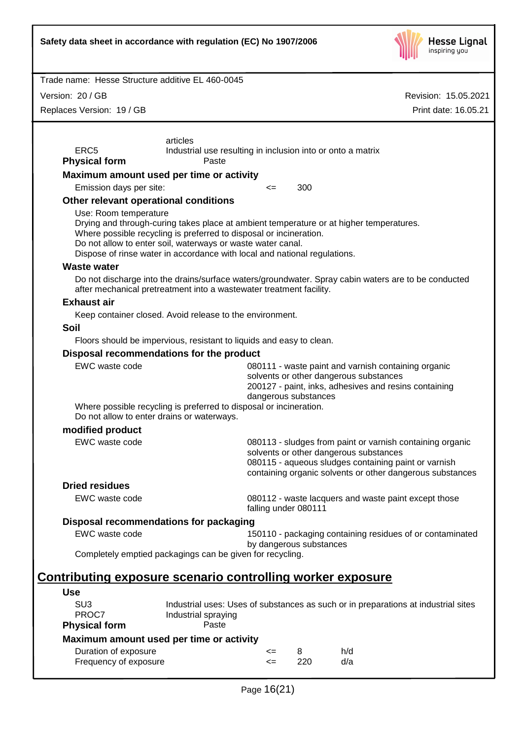| Safety data sheet in accordance with regulation (EC) No 1907/2006                                                                                                                                                                                                                                                                  |                                                                                                                                                                                                                          | <b>Hesse Lignal</b><br>inspiring you |  |  |
|------------------------------------------------------------------------------------------------------------------------------------------------------------------------------------------------------------------------------------------------------------------------------------------------------------------------------------|--------------------------------------------------------------------------------------------------------------------------------------------------------------------------------------------------------------------------|--------------------------------------|--|--|
| Trade name: Hesse Structure additive EL 460-0045                                                                                                                                                                                                                                                                                   |                                                                                                                                                                                                                          |                                      |  |  |
| Version: 20 / GB                                                                                                                                                                                                                                                                                                                   |                                                                                                                                                                                                                          | Revision: 15.05.2021                 |  |  |
| Replaces Version: 19 / GB                                                                                                                                                                                                                                                                                                          |                                                                                                                                                                                                                          | Print date: 16.05.21                 |  |  |
|                                                                                                                                                                                                                                                                                                                                    |                                                                                                                                                                                                                          |                                      |  |  |
| articles<br>ERC <sub>5</sub><br><b>Physical form</b><br>Paste                                                                                                                                                                                                                                                                      | Industrial use resulting in inclusion into or onto a matrix                                                                                                                                                              |                                      |  |  |
| Maximum amount used per time or activity                                                                                                                                                                                                                                                                                           |                                                                                                                                                                                                                          |                                      |  |  |
| Emission days per site:                                                                                                                                                                                                                                                                                                            | 300<br><=                                                                                                                                                                                                                |                                      |  |  |
| Other relevant operational conditions                                                                                                                                                                                                                                                                                              |                                                                                                                                                                                                                          |                                      |  |  |
| Use: Room temperature<br>Drying and through-curing takes place at ambient temperature or at higher temperatures.<br>Where possible recycling is preferred to disposal or incineration.<br>Do not allow to enter soil, waterways or waste water canal.<br>Dispose of rinse water in accordance with local and national regulations. |                                                                                                                                                                                                                          |                                      |  |  |
| <b>Waste water</b>                                                                                                                                                                                                                                                                                                                 |                                                                                                                                                                                                                          |                                      |  |  |
| Do not discharge into the drains/surface waters/groundwater. Spray cabin waters are to be conducted<br>after mechanical pretreatment into a wastewater treatment facility.                                                                                                                                                         |                                                                                                                                                                                                                          |                                      |  |  |
| <b>Exhaust air</b>                                                                                                                                                                                                                                                                                                                 |                                                                                                                                                                                                                          |                                      |  |  |
| Keep container closed. Avoid release to the environment.                                                                                                                                                                                                                                                                           |                                                                                                                                                                                                                          |                                      |  |  |
| <b>Soil</b>                                                                                                                                                                                                                                                                                                                        |                                                                                                                                                                                                                          |                                      |  |  |
| Floors should be impervious, resistant to liquids and easy to clean.                                                                                                                                                                                                                                                               |                                                                                                                                                                                                                          |                                      |  |  |
| Disposal recommendations for the product<br>EWC waste code<br>Where possible recycling is preferred to disposal or incineration.<br>Do not allow to enter drains or waterways.                                                                                                                                                     | 080111 - waste paint and varnish containing organic<br>solvents or other dangerous substances<br>200127 - paint, inks, adhesives and resins containing<br>dangerous substances                                           |                                      |  |  |
| modified product                                                                                                                                                                                                                                                                                                                   |                                                                                                                                                                                                                          |                                      |  |  |
| EWC waste code                                                                                                                                                                                                                                                                                                                     | 080113 - sludges from paint or varnish containing organic<br>solvents or other dangerous substances<br>080115 - aqueous sludges containing paint or varnish<br>containing organic solvents or other dangerous substances |                                      |  |  |
| <b>Dried residues</b>                                                                                                                                                                                                                                                                                                              |                                                                                                                                                                                                                          |                                      |  |  |
| EWC waste code                                                                                                                                                                                                                                                                                                                     | 080112 - waste lacquers and waste paint except those<br>falling under 080111                                                                                                                                             |                                      |  |  |
| Disposal recommendations for packaging                                                                                                                                                                                                                                                                                             |                                                                                                                                                                                                                          |                                      |  |  |
| EWC waste code                                                                                                                                                                                                                                                                                                                     | 150110 - packaging containing residues of or contaminated<br>by dangerous substances                                                                                                                                     |                                      |  |  |
| Completely emptied packagings can be given for recycling.                                                                                                                                                                                                                                                                          |                                                                                                                                                                                                                          |                                      |  |  |
| <u>Contributing exposure scenario controlling worker exposure</u>                                                                                                                                                                                                                                                                  |                                                                                                                                                                                                                          |                                      |  |  |
| <b>Use</b><br>SU <sub>3</sub><br>PROC7<br>Industrial spraying<br><b>Physical form</b><br>Paste                                                                                                                                                                                                                                     | Industrial uses: Uses of substances as such or in preparations at industrial sites                                                                                                                                       |                                      |  |  |
| Maximum amount used per time or activity                                                                                                                                                                                                                                                                                           |                                                                                                                                                                                                                          |                                      |  |  |
| Duration of exposure<br>Frequency of exposure                                                                                                                                                                                                                                                                                      | h/d<br>8<br><=<br>d/a<br>220<br>$\leq$                                                                                                                                                                                   |                                      |  |  |
| Page 16(21)                                                                                                                                                                                                                                                                                                                        |                                                                                                                                                                                                                          |                                      |  |  |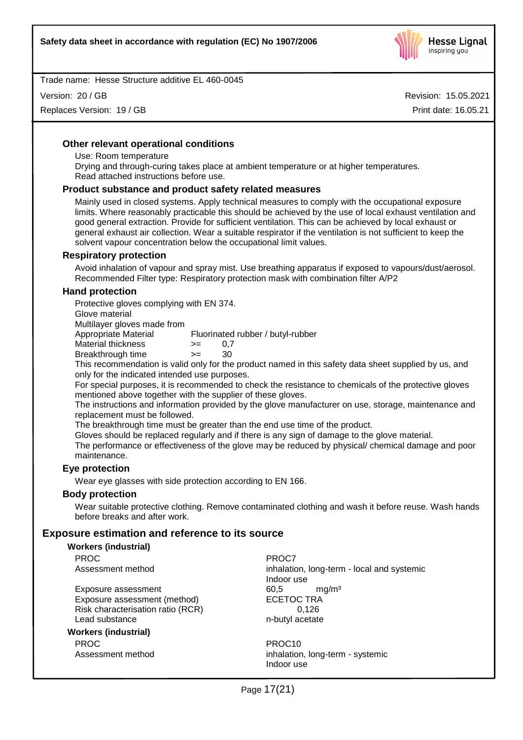

Version: 20 / GB

Replaces Version: 19 / GB

Revision: 15.05.2021 Print date: 16.05.21

#### **Other relevant operational conditions**

Use: Room temperature

Drying and through-curing takes place at ambient temperature or at higher temperatures. Read attached instructions before use.

#### **Product substance and product safety related measures**

Mainly used in closed systems. Apply technical measures to comply with the occupational exposure limits. Where reasonably practicable this should be achieved by the use of local exhaust ventilation and good general extraction. Provide for sufficient ventilation. This can be achieved by local exhaust or general exhaust air collection. Wear a suitable respirator if the ventilation is not sufficient to keep the solvent vapour concentration below the occupational limit values.

#### **Respiratory protection**

Avoid inhalation of vapour and spray mist. Use breathing apparatus if exposed to vapours/dust/aerosol. Recommended Filter type: Respiratory protection mask with combination filter A/P2

#### **Hand protection**

Protective gloves complying with EN 374.

Glove material

Multilayer gloves made from

Appropriate Material Fluorinated rubber / butyl-rubber

- Material thickness  $\ge$  = 0,7
- Breakthrough time >= 30

This recommendation is valid only for the product named in this safety data sheet supplied by us, and only for the indicated intended use purposes.

For special purposes, it is recommended to check the resistance to chemicals of the protective gloves mentioned above together with the supplier of these gloves.

The instructions and information provided by the glove manufacturer on use, storage, maintenance and replacement must be followed.

The breakthrough time must be greater than the end use time of the product.

Gloves should be replaced regularly and if there is any sign of damage to the glove material.

The performance or effectiveness of the glove may be reduced by physical/ chemical damage and poor maintenance.

#### **Eye protection**

Wear eye glasses with side protection according to EN 166.

#### **Body protection**

Wear suitable protective clothing. Remove contaminated clothing and wash it before reuse. Wash hands before breaks and after work.

#### **Exposure estimation and reference to its source**

| <b>Workers (industrial)</b>       |                                            |
|-----------------------------------|--------------------------------------------|
| <b>PROC</b>                       | PROC7                                      |
| Assessment method                 | inhalation, long-term - local and systemic |
|                                   | Indoor use                                 |
| Exposure assessment               | mq/m <sup>3</sup><br>60.5                  |
| Exposure assessment (method)      | <b>ECETOC TRA</b>                          |
| Risk characterisation ratio (RCR) | 0.126                                      |
| Lead substance                    | n-butyl acetate                            |
| <b>Workers (industrial)</b>       |                                            |
| <b>PROC</b>                       | PROC <sub>10</sub>                         |
| Assessment method                 | inhalation, long-term - systemic           |
|                                   | Indoor use                                 |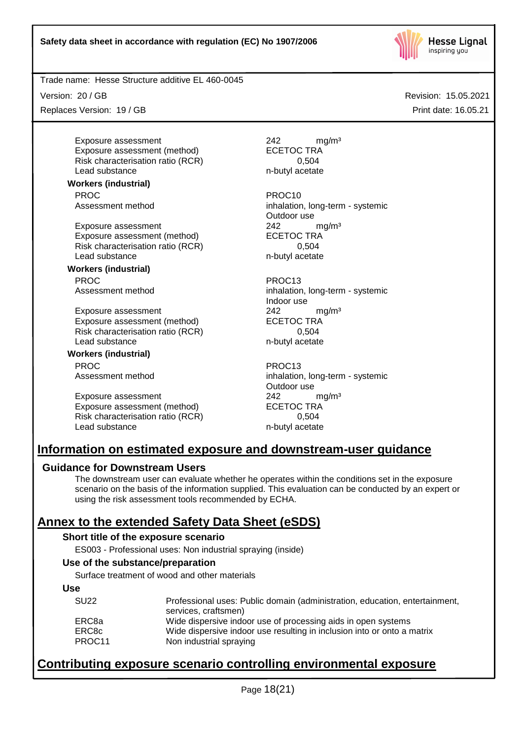

Version: 20 / GB

Replaces Version: 19 / GB

Exposure assessment and the contract and  $242$  mg/m<sup>3</sup> Exposure assessment (method) ECETOC TRA Risk characterisation ratio (RCR) 0,504 Lead substance n-butyl acetate

**Workers (industrial)** PROC PROC10

Exposure assessment<br>
Exposure assessment (method) 
<br>
ECETOC TRA Exposure assessment (method) Risk characterisation ratio (RCR) 0,504 Lead substance n-butyl acetate

**Workers (industrial)** PROC PROC13

Exposure assessment 242 mg/m<sup>3</sup> Exposure assessment (method) ECETOC TRA Risk characterisation ratio (RCR) 0,504 Lead substance n-butyl acetate

**Workers (industrial)** PROC PROC13

Exposure assessment 242 mg/m<sup>3</sup> Exposure assessment (method) ECETOC TRA Risk characterisation ratio (RCR) 0,504 Lead substance n-butyl acetate

Assessment method inhalation, long-term - systemic Outdoor use

Assessment method inhalation, long-term - systemic Indoor use

Assessment method inhalation, long-term - systemic Outdoor use

# **Information on estimated exposure and downstream-user guidance**

# **Guidance for Downstream Users**

The downstream user can evaluate whether he operates within the conditions set in the exposure scenario on the basis of the information supplied. This evaluation can be conducted by an expert or using the risk assessment tools recommended by ECHA.

# **Annex to the extended Safety Data Sheet (eSDS)**

#### **Short title of the exposure scenario**

ES003 - Professional uses: Non industrial spraying (inside)

#### **Use of the substance/preparation**

Surface treatment of wood and other materials

#### **Use**

| <b>SU22</b> | Professional uses: Public domain (administration, education, entertainment, |
|-------------|-----------------------------------------------------------------------------|
|             | services, craftsmen)                                                        |
| ERC8a       | Wide dispersive indoor use of processing aids in open systems               |
| ERC8c       | Wide dispersive indoor use resulting in inclusion into or onto a matrix     |
| PROC11      | Non industrial spraying                                                     |

# **Contributing exposure scenario controlling environmental exposure**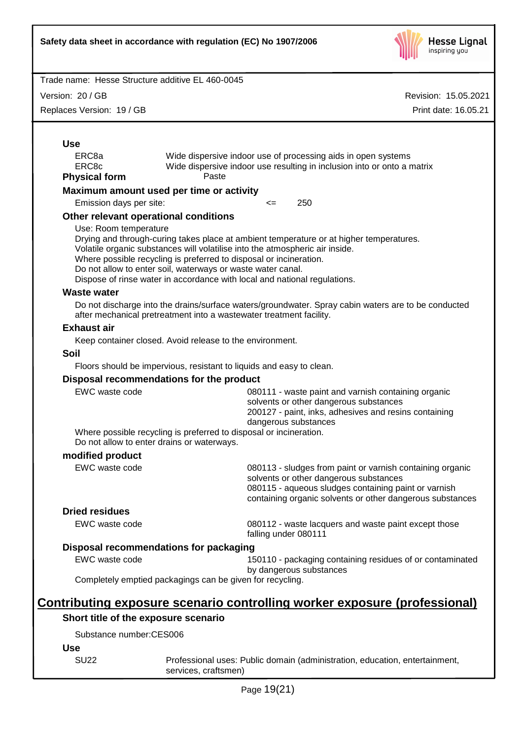

Version: 20 / GB

Replaces Version: 19 / GB

| <b>Use</b>                                         |                                                                                                                                                    |                      |                                                                                                                                                                                                                          |  |
|----------------------------------------------------|----------------------------------------------------------------------------------------------------------------------------------------------------|----------------------|--------------------------------------------------------------------------------------------------------------------------------------------------------------------------------------------------------------------------|--|
| ERC <sub>8a</sub><br>ERC8c<br><b>Physical form</b> | Paste                                                                                                                                              |                      | Wide dispersive indoor use of processing aids in open systems<br>Wide dispersive indoor use resulting in inclusion into or onto a matrix                                                                                 |  |
|                                                    | Maximum amount used per time or activity                                                                                                           |                      |                                                                                                                                                                                                                          |  |
| Emission days per site:                            |                                                                                                                                                    | <=                   | 250                                                                                                                                                                                                                      |  |
|                                                    | Other relevant operational conditions                                                                                                              |                      |                                                                                                                                                                                                                          |  |
| Use: Room temperature                              |                                                                                                                                                    |                      |                                                                                                                                                                                                                          |  |
|                                                    |                                                                                                                                                    |                      | Drying and through-curing takes place at ambient temperature or at higher temperatures.                                                                                                                                  |  |
|                                                    | Volatile organic substances will volatilise into the atmospheric air inside.<br>Where possible recycling is preferred to disposal or incineration. |                      |                                                                                                                                                                                                                          |  |
|                                                    | Do not allow to enter soil, waterways or waste water canal.                                                                                        |                      |                                                                                                                                                                                                                          |  |
|                                                    | Dispose of rinse water in accordance with local and national regulations.                                                                          |                      |                                                                                                                                                                                                                          |  |
| <b>Waste water</b>                                 |                                                                                                                                                    |                      |                                                                                                                                                                                                                          |  |
|                                                    | after mechanical pretreatment into a wastewater treatment facility.                                                                                |                      | Do not discharge into the drains/surface waters/groundwater. Spray cabin waters are to be conducted                                                                                                                      |  |
| <b>Exhaust air</b>                                 |                                                                                                                                                    |                      |                                                                                                                                                                                                                          |  |
|                                                    | Keep container closed. Avoid release to the environment.                                                                                           |                      |                                                                                                                                                                                                                          |  |
| <b>Soil</b>                                        |                                                                                                                                                    |                      |                                                                                                                                                                                                                          |  |
|                                                    | Floors should be impervious, resistant to liquids and easy to clean.                                                                               |                      |                                                                                                                                                                                                                          |  |
|                                                    | Disposal recommendations for the product                                                                                                           |                      |                                                                                                                                                                                                                          |  |
| EWC waste code                                     | Where possible recycling is preferred to disposal or incineration.                                                                                 | dangerous substances | 080111 - waste paint and varnish containing organic<br>solvents or other dangerous substances<br>200127 - paint, inks, adhesives and resins containing                                                                   |  |
|                                                    | Do not allow to enter drains or waterways.                                                                                                         |                      |                                                                                                                                                                                                                          |  |
| modified product<br>EWC waste code                 |                                                                                                                                                    |                      |                                                                                                                                                                                                                          |  |
|                                                    |                                                                                                                                                    |                      | 080113 - sludges from paint or varnish containing organic<br>solvents or other dangerous substances<br>080115 - aqueous sludges containing paint or varnish<br>containing organic solvents or other dangerous substances |  |
| <b>Dried residues</b>                              |                                                                                                                                                    |                      |                                                                                                                                                                                                                          |  |
| EWC waste code                                     |                                                                                                                                                    | falling under 080111 | 080112 - waste lacquers and waste paint except those                                                                                                                                                                     |  |
|                                                    | Disposal recommendations for packaging                                                                                                             |                      |                                                                                                                                                                                                                          |  |
| EWC waste code                                     |                                                                                                                                                    |                      | 150110 - packaging containing residues of or contaminated<br>by dangerous substances                                                                                                                                     |  |
|                                                    | Completely emptied packagings can be given for recycling.                                                                                          |                      |                                                                                                                                                                                                                          |  |
|                                                    |                                                                                                                                                    |                      | <u>Contributing exposure scenario controlling worker exposure (professional)</u>                                                                                                                                         |  |
| Short title of the exposure scenario               |                                                                                                                                                    |                      |                                                                                                                                                                                                                          |  |
| Substance number:CES006                            |                                                                                                                                                    |                      |                                                                                                                                                                                                                          |  |
| <b>Use</b>                                         |                                                                                                                                                    |                      |                                                                                                                                                                                                                          |  |
| <b>SU22</b>                                        | services, craftsmen)                                                                                                                               |                      | Professional uses: Public domain (administration, education, entertainment,                                                                                                                                              |  |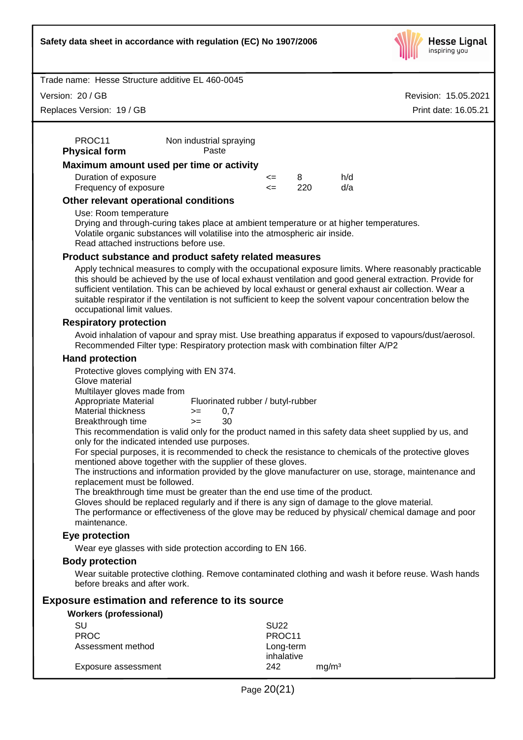

Version: 20 / GB

Replaces Version: 19 / GB

Revision: 15.05.2021 Print date: 16.05.21

| PROC11<br><b>Physical form</b> | Non industrial spraying<br>Paste         |        |     |     |
|--------------------------------|------------------------------------------|--------|-----|-----|
|                                | Maximum amount used per time or activity |        |     |     |
| Duration of exposure           |                                          | $\leq$ | 8   | h/d |
| Frequency of exposure          |                                          | $\leq$ | 220 | d/a |
|                                | Other relevant operational conditions    |        |     |     |

Use: Room temperature

Drying and through-curing takes place at ambient temperature or at higher temperatures. Volatile organic substances will volatilise into the atmospheric air inside. Read attached instructions before use.

#### **Product substance and product safety related measures**

Apply technical measures to comply with the occupational exposure limits. Where reasonably practicable this should be achieved by the use of local exhaust ventilation and good general extraction. Provide for sufficient ventilation. This can be achieved by local exhaust or general exhaust air collection. Wear a suitable respirator if the ventilation is not sufficient to keep the solvent vapour concentration below the occupational limit values.

#### **Respiratory protection**

Avoid inhalation of vapour and spray mist. Use breathing apparatus if exposed to vapours/dust/aerosol. Recommended Filter type: Respiratory protection mask with combination filter A/P2

#### **Hand protection**

Protective gloves complying with EN 374.

Glove material

Multilayer gloves made from

Appropriate Material Fluorinated rubber / butyl-rubber

| Material thickness |  | 0.7 |
|--------------------|--|-----|
|                    |  |     |

Breakthrough time >= 30

This recommendation is valid only for the product named in this safety data sheet supplied by us, and only for the indicated intended use purposes.

For special purposes, it is recommended to check the resistance to chemicals of the protective gloves mentioned above together with the supplier of these gloves.

The instructions and information provided by the glove manufacturer on use, storage, maintenance and replacement must be followed.

The breakthrough time must be greater than the end use time of the product.

Gloves should be replaced regularly and if there is any sign of damage to the glove material.

The performance or effectiveness of the glove may be reduced by physical/ chemical damage and poor maintenance.

#### **Eye protection**

Wear eye glasses with side protection according to EN 166.

#### **Body protection**

Wear suitable protective clothing. Remove contaminated clothing and wash it before reuse. Wash hands before breaks and after work.

#### **Exposure estimation and reference to its source**

**Workers (professional)**

| SU                  | SU <sub>22</sub>        |                   |
|---------------------|-------------------------|-------------------|
| <b>PROC</b>         | PROC <sub>11</sub>      |                   |
| Assessment method   | Long-term<br>inhalative |                   |
| Exposure assessment | 242                     | mg/m <sup>3</sup> |